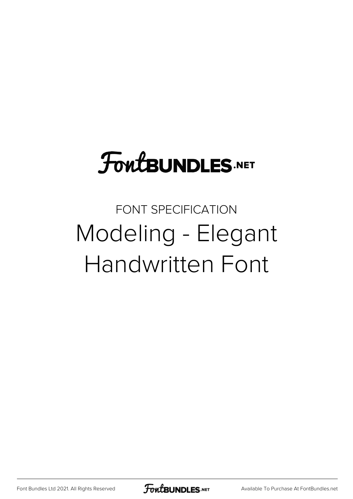## **FoutBUNDLES.NET**

## FONT SPECIFICATION Modeling - Elegant Handwritten Font

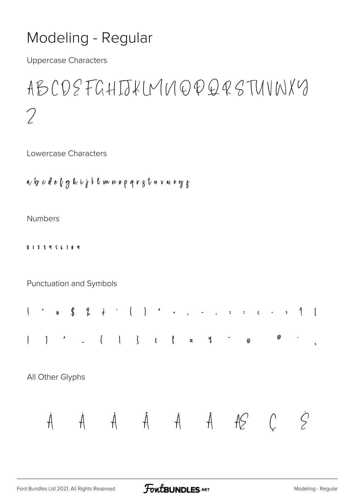## Modeling - Regular

**Uppercase Characters** 

## ABCDSFGHIJKIMNOPQQSTUNNXY  $\mathcal{D}$

Lowercase Characters

a b c d e l g h i j t l m n o p q r g t u v n r y g

**Numbers** 

0123456189

Punctuation and Symbols



All Other Glyphs

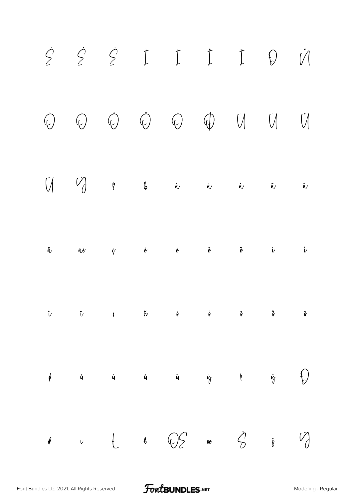